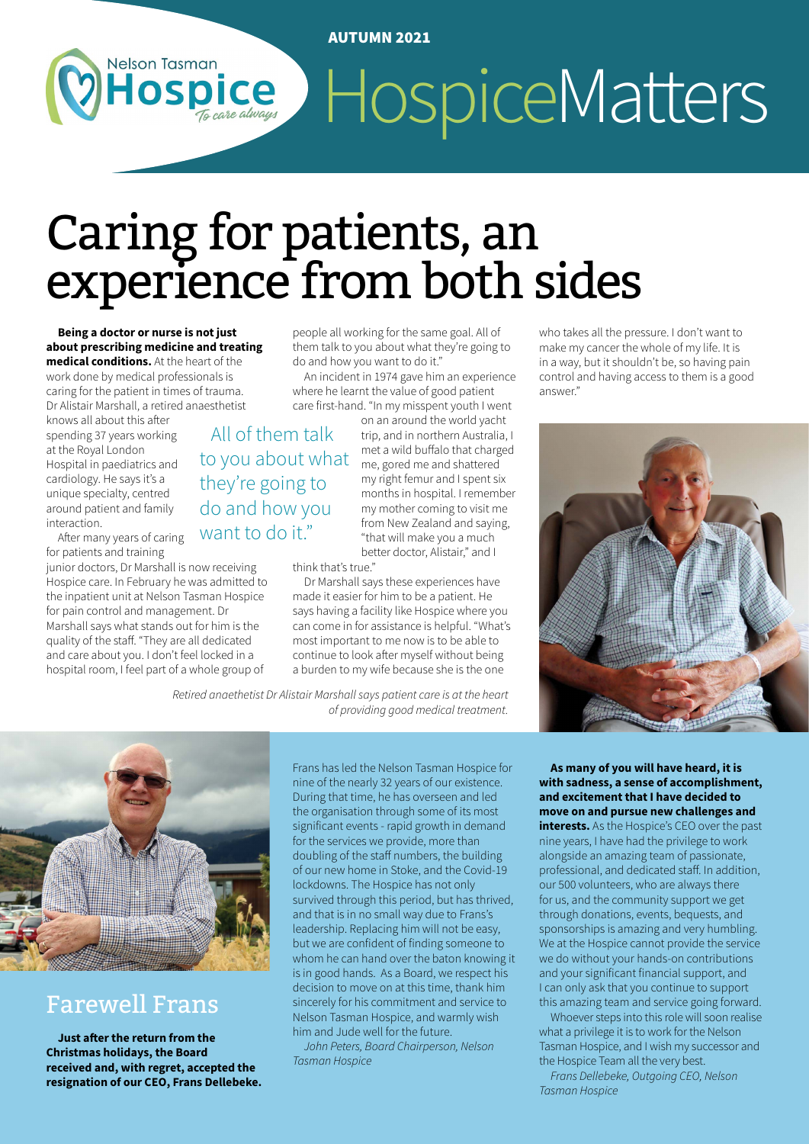#### AUTUMN 2021

# HospiceMatters OSDICe

# Caring for patients, an experience from both sides

**Being a doctor or nurse is not just about prescribing medicine and treating medical conditions.** At the heart of the work done by medical professionals is

**Nelson Tasman** 

caring for the patient in times of trauma. Dr Alistair Marshall, a retired anaesthetist

knows all about this after spending 37 years working at the Royal London Hospital in paediatrics and cardiology. He says it's a unique specialty, centred around patient and family interaction.

After many years of caring for patients and training

junior doctors, Dr Marshall is now receiving Hospice care. In February he was admitted to the inpatient unit at Nelson Tasman Hospice for pain control and management. Dr Marshall says what stands out for him is the quality of the staff. "They are all dedicated and care about you. I don't feel locked in a hospital room, I feel part of a whole group of

people all working for the same goal. All of them talk to you about what they're going to do and how you want to do it."

An incident in 1974 gave him an experience where he learnt the value of good patient care first-hand. "In my misspent youth I went

on an around the world yacht trip, and in northern Australia, I met a wild buffalo that charged me, gored me and shattered my right femur and I spent six months in hospital. I remember my mother coming to visit me from New Zealand and saying, "that will make you a much better doctor, Alistair," and I to you about what

think that's true."

All of them talk

they're going to do and how you want to do it."

> Dr Marshall says these experiences have made it easier for him to be a patient. He says having a facility like Hospice where you can come in for assistance is helpful. "What's most important to me now is to be able to continue to look after myself without being a burden to my wife because she is the one

*Retired anaethetist Dr Alistair Marshall says patient care is at the heart of providing good medical treatment.*



### Farewell Frans

**Just after the return from the Christmas holidays, the Board received and, with regret, accepted the resignation of our CEO, Frans Dellebeke.** 

Frans has led the Nelson Tasman Hospice for nine of the nearly 32 years of our existence. During that time, he has overseen and led the organisation through some of its most significant events - rapid growth in demand for the services we provide, more than doubling of the staff numbers, the building of our new home in Stoke, and the Covid-19 lockdowns. The Hospice has not only survived through this period, but has thrived, and that is in no small way due to Frans's leadership. Replacing him will not be easy, but we are confident of finding someone to whom he can hand over the baton knowing it is in good hands. As a Board, we respect his decision to move on at this time, thank him sincerely for his commitment and service to Nelson Tasman Hospice, and warmly wish him and Jude well for the future.

*John Peters, Board Chairperson, Nelson Tasman Hospice*

who takes all the pressure. I don't want to make my cancer the whole of my life. It is in a way, but it shouldn't be, so having pain control and having access to them is a good answer."



**As many of you will have heard, it is with sadness, a sense of accomplishment, and excitement that I have decided to move on and pursue new challenges and interests.** As the Hospice's CEO over the past nine years, I have had the privilege to work alongside an amazing team of passionate, professional, and dedicated staff. In addition, our 500 volunteers, who are always there for us, and the community support we get through donations, events, bequests, and sponsorships is amazing and very humbling. We at the Hospice cannot provide the service we do without your hands-on contributions and your significant financial support, and I can only ask that you continue to support

this amazing team and service going forward. Whoever steps into this role will soon realise what a privilege it is to work for the Nelson Tasman Hospice, and I wish my successor and the Hospice Team all the very best.

*Frans Dellebeke, Outgoing CEO, Nelson Tasman Hospice*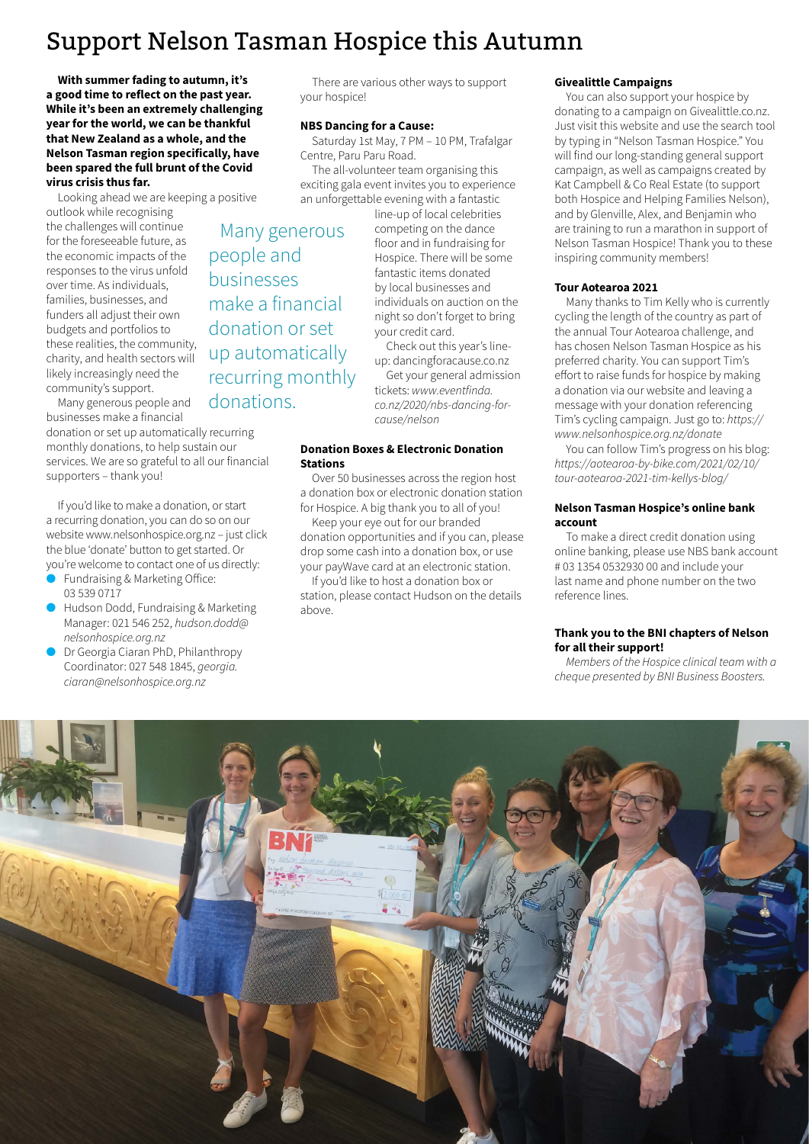# Support Nelson Tasman Hospice this Autumn

**With summer fading to autumn, it's a good time to reflect on the past year. While it's been an extremely challenging year for the world, we can be thankful that New Zealand as a whole, and the Nelson Tasman region specifically, have been spared the full brunt of the Covid virus crisis thus far.**

Looking ahead we are keeping a positive

outlook while recognising the challenges will continue for the foreseeable future, as the economic impacts of the responses to the virus unfold over time. As individuals, families, businesses, and funders all adjust their own budgets and portfolios to these realities, the community, charity, and health sectors will likely increasingly need the community's support.

Many generous people and businesses make a financial

donation or set up automatically recurring monthly donations, to help sustain our services. We are so grateful to all our financial supporters – thank you!

If you'd like to make a donation, or start a recurring donation, you can do so on our website www.nelsonhospice.org.nz – just click the blue 'donate' button to get started. Or you're welcome to contact one of us directly:

- Fundraising & Marketing Office: 03 539 0717
- l Hudson Dodd, Fundraising & Marketing Manager: 021 546 252, *hudson.dodd@ nelsonhospice.org.nz*
- Dr Georgia Ciaran PhD, Philanthropy Coordinator: 027 548 1845, *georgia. ciaran@nelsonhospice.org.nz*

There are various other ways to support your hospice!

#### **NBS Dancing for a Cause:**

Saturday 1st May, 7 PM – 10 PM, Trafalgar Centre, Paru Paru Road.

The all-volunteer team organising this exciting gala event invites you to experience an unforgettable evening with a fantastic

> line-up of local celebrities competing on the dance floor and in fundraising for Hospice. There will be some fantastic items donated by local businesses and individuals on auction on the night so don't forget to bring your credit card.

Check out this year's lineup: dancingforacause.co.nz

Get your general admission tickets: *www.eventfinda. co.nz/2020/nbs-dancing-forcause/nelson*

#### **Donation Boxes & Electronic Donation Stations**

Over 50 businesses across the region host a donation box or electronic donation station for Hospice. A big thank you to all of you!

Keep your eye out for our branded donation opportunities and if you can, please drop some cash into a donation box, or use your payWave card at an electronic station.

If you'd like to host a donation box or station, please contact Hudson on the details above.

#### **Givealittle Campaigns**

You can also support your hospice by donating to a campaign on Givealittle.co.nz. Just visit this website and use the search tool by typing in "Nelson Tasman Hospice." You will find our long-standing general support campaign, as well as campaigns created by Kat Campbell & Co Real Estate (to support both Hospice and Helping Families Nelson), and by Glenville, Alex, and Benjamin who are training to run a marathon in support of Nelson Tasman Hospice! Thank you to these inspiring community members!

#### **Tour Aotearoa 2021**

Many thanks to Tim Kelly who is currently cycling the length of the country as part of the annual Tour Aotearoa challenge, and has chosen Nelson Tasman Hospice as his preferred charity. You can support Tim's effort to raise funds for hospice by making a donation via our website and leaving a message with your donation referencing Tim's cycling campaign. Just go to: *https:// www.nelsonhospice.org.nz/donate*

You can follow Tim's progress on his blog: *https://aotearoa-by-bike.com/2021/02/10/ tour-aotearoa-2021-tim-kellys-blog/* 

#### **Nelson Tasman Hospice's online bank account**

To make a direct credit donation using online banking, please use NBS bank account # 03 1354 0532930 00 and include your last name and phone number on the two reference lines.

#### **Thank you to the BNI chapters of Nelson for all their support!**

*Members of the Hospice clinical team with a cheque presented by BNI Business Boosters.* 



Many generous people and businesses make a financial donation or set up automatically recurring monthly donations.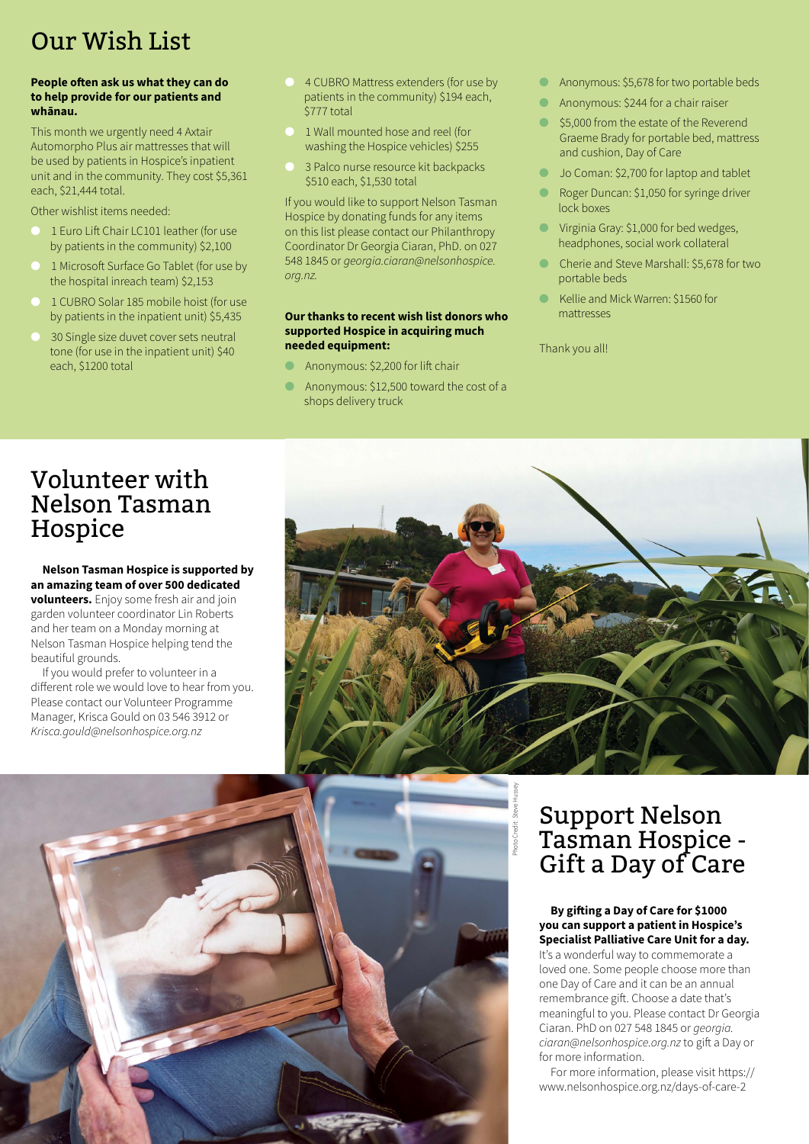# Our Wish List

#### **People often ask us what they can do to help provide for our patients and whānau.**

This month we urgently need 4 Axtair Automorpho Plus air mattresses that will be used by patients in Hospice's inpatient unit and in the community. They cost \$5,361 each, \$21,444 total.

Other wishlist items needed:

- l 1 Euro Lift Chair LC101 leather (for use by patients in the community) \$2,100
- l 1 Microsoft Surface Go Tablet (for use by the hospital inreach team) \$2,153
- l 1 CUBRO Solar 185 mobile hoist (for use by patients in the inpatient unit) \$5,435
- 30 Single size duvet cover sets neutral tone (for use in the inpatient unit) \$40 each, \$1200 total
- 4 CUBRO Mattress extenders (for use by patients in the community) \$194 each, \$777 total
- l 1 Wall mounted hose and reel (for washing the Hospice vehicles) \$255
- 3 Palco nurse resource kit backpacks \$510 each, \$1,530 total

If you would like to support Nelson Tasman Hospice by donating funds for any items on this list please contact our Philanthropy Coordinator Dr Georgia Ciaran, PhD. on 027 548 1845 or *georgia.ciaran@nelsonhospice. org.nz.*

#### **Our thanks to recent wish list donors who supported Hospice in acquiring much needed equipment:**

- Anonymous: \$2,200 for lift chair
- Anonymous: \$12,500 toward the cost of a shops delivery truck
- **C** Anonymous: \$5,678 for two portable beds
- **C** Anonymous: \$244 for a chair raiser
- **S5,000 from the estate of the Reverend** Graeme Brady for portable bed, mattress and cushion, Day of Care
- **Jo Coman: \$2,700 for laptop and tablet**
- Roger Duncan: \$1,050 for syringe driver lock boxes
- **In Virginia Gray: \$1,000 for bed wedges,** headphones, social work collateral
- l Cherie and Steve Marshall: \$5,678 for two portable beds
- l Kellie and Mick Warren: \$1560 for mattresses

Thank you all!

# Volunteer with Nelson Tasman Hospice

#### **Nelson Tasman Hospice is supported by an amazing team of over 500 dedicated**

**volunteers.** Enjoy some fresh air and join garden volunteer coordinator Lin Roberts and her team on a Monday morning at Nelson Tasman Hospice helping tend the beautiful grounds.

If you would prefer to volunteer in a different role we would love to hear from you. Please contact our Volunteer Programme Manager, Krisca Gould on 03 546 3912 or *Krisca.gould@nelsonhospice.org.nz* 





# Support Nelson Tasman Hospice - Gift a Day of Care

#### **By gifting a Day of Care for \$1000 you can support a patient in Hospice's Specialist Palliative Care Unit for a day.**

It's a wonderful way to commemorate a loved one. Some people choose more than one Day of Care and it can be an annual remembrance gift. Choose a date that's meaningful to you. Please contact Dr Georgia Ciaran. PhD on 027 548 1845 or *georgia. ciaran@nelsonhospice.org.nz* to gift a Day or for more information.

For more information, please visit https:// www.nelsonhospice.org.nz/days-of-care-2